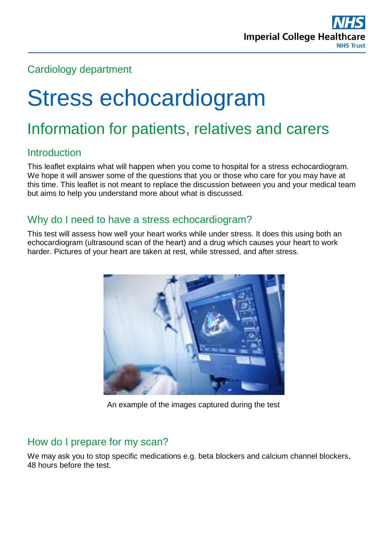

# Cardiology department

# Stress echocardiogram

# Information for patients, relatives and carers

## Introduction

This leaflet explains what will happen when you come to hospital for a stress echocardiogram. We hope it will answer some of the questions that you or those who care for you may have at this time. This leaflet is not meant to replace the discussion between you and your medical team but aims to help you understand more about what is discussed.

#### Why do I need to have a stress echocardiogram?

This test will assess how well your heart works while under stress. It does this using both an echocardiogram (ultrasound scan of the heart) and a drug which causes your heart to work harder. Pictures of your heart are taken at rest, while stressed, and after stress.



An example of the images captured during the test

## How do I prepare for my scan?

We may ask you to stop specific medications e.g. beta blockers and calcium channel blockers, 48 hours before the test.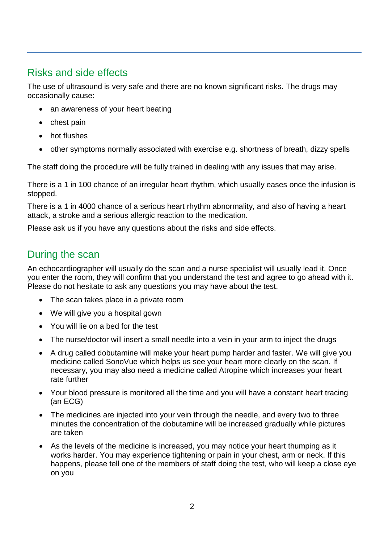# Risks and side effects

The use of ultrasound is very safe and there are no known significant risks. The drugs may occasionally cause:

- an awareness of your heart beating
- chest pain
- hot flushes
- other symptoms normally associated with exercise e.g. shortness of breath, dizzy spells

The staff doing the procedure will be fully trained in dealing with any issues that may arise.

There is a 1 in 100 chance of an irregular heart rhythm, which usually eases once the infusion is stopped.

There is a 1 in 4000 chance of a serious heart rhythm abnormality, and also of having a heart attack, a stroke and a serious allergic reaction to the medication.

Please ask us if you have any questions about the risks and side effects.

## During the scan

An echocardiographer will usually do the scan and a nurse specialist will usually lead it. Once you enter the room, they will confirm that you understand the test and agree to go ahead with it. Please do not hesitate to ask any questions you may have about the test.

- The scan takes place in a private room
- We will give you a hospital gown
- You will lie on a bed for the test
- The nurse/doctor will insert a small needle into a vein in your arm to inject the drugs
- A drug called dobutamine will make your heart pump harder and faster. We will give you medicine called SonoVue which helps us see your heart more clearly on the scan. If necessary, you may also need a medicine called Atropine which increases your heart rate further
- Your blood pressure is monitored all the time and you will have a constant heart tracing (an ECG)
- The medicines are injected into your vein through the needle, and every two to three minutes the concentration of the dobutamine will be increased gradually while pictures are taken
- As the levels of the medicine is increased, you may notice your heart thumping as it works harder. You may experience tightening or pain in your chest, arm or neck. If this happens, please tell one of the members of staff doing the test, who will keep a close eye on you